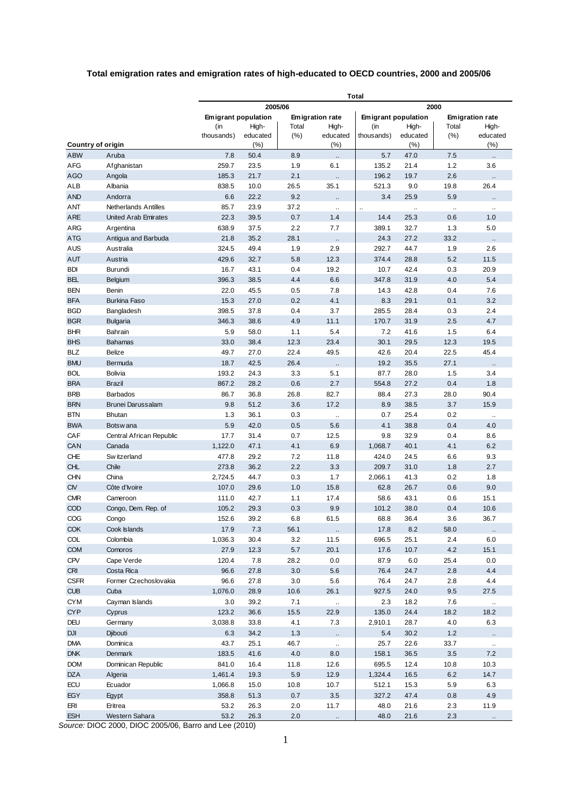## **Total emigration rates and emigration rates of high-educated to OECD countries, 2000 and 2005/06**

|                          |                             | <b>Total</b>        |              |                        |                             |                              |                              |                           |                     |
|--------------------------|-----------------------------|---------------------|--------------|------------------------|-----------------------------|------------------------------|------------------------------|---------------------------|---------------------|
|                          |                             | 2005/06<br>2000     |              |                        |                             |                              |                              |                           |                     |
|                          |                             | Emigrant population |              | <b>Emigration rate</b> |                             | <b>Emigrant population</b>   |                              | <b>Emigration rate</b>    |                     |
|                          |                             | (in                 | High-        | Total                  | High-                       | (in                          | High-                        | Total                     | High-               |
|                          |                             | thousands)          | educated     | (%)                    | educated                    | thousands)                   | educated                     | (% )                      | educated            |
| Country of origin        |                             |                     | (%)          |                        | $(\% )$                     |                              | (%)                          |                           | (%)                 |
| <b>ABW</b>               | Aruba                       | 7.8                 | 50.4         | 8.9                    |                             | 5.7                          | 47.0                         | 7.5                       |                     |
| AFG                      | Afghanistan                 | 259.7               | 23.5         | 1.9                    | 6.1                         | 135.2                        | 21.4                         | 1.2                       | 3.6                 |
| <b>AGO</b>               | Angola                      | 185.3               | 21.7         | 2.1                    | ä,                          | 196.2                        | 19.7                         | 2.6                       | $\ddotsc$           |
| <b>ALB</b><br><b>AND</b> | Albania<br>Andorra          | 838.5<br>6.6        | 10.0<br>22.2 | 26.5<br>9.2            | 35.1                        | 521.3<br>3.4                 | 9.0<br>25.9                  | 19.8<br>5.9               | 26.4                |
| ANT                      | <b>Netherlands Antilles</b> | 85.7                | 23.9         | 37.2                   |                             |                              |                              |                           |                     |
| <b>ARE</b>               | <b>United Arab Emirates</b> | 22.3                | 39.5         | 0.7                    | <br>1.4                     | $\ddot{\phantom{a}}$<br>14.4 | $\ddot{\phantom{a}}$<br>25.3 | $\bar{\mathbf{r}}$<br>0.6 | 1.0                 |
| <b>ARG</b>               | Argentina                   | 638.9               | 37.5         | 2.2                    | 7.7                         | 389.1                        | 32.7                         | 1.3                       | 5.0                 |
| <b>ATG</b>               | Antigua and Barbuda         | 21.8                | 35.2         | 28.1                   |                             | 24.3                         | 27.2                         | 33.2                      |                     |
| AUS                      | Australia                   | 324.5               | 49.4         | 1.9                    | $\ddot{\phantom{1}}$<br>2.9 | 292.7                        | 44.7                         | 1.9                       | 2.6                 |
| <b>AUT</b>               | Austria                     | 429.6               | 32.7         | 5.8                    | 12.3                        | 374.4                        | 28.8                         | 5.2                       | 11.5                |
| <b>BDI</b>               | Burundi                     | 16.7                | 43.1         | 0.4                    | 19.2                        | 10.7                         | 42.4                         | 0.3                       | 20.9                |
| <b>BEL</b>               | Belgium                     | 396.3               | 38.5         | 4.4                    | 6.6                         | 347.8                        | 31.9                         | 4.0                       | 5.4                 |
| <b>BEN</b>               | Benin                       | 22.0                | 45.5         | 0.5                    | 7.8                         | 14.3                         | 42.8                         | 0.4                       | 7.6                 |
| <b>BFA</b>               | <b>Burkina Faso</b>         | 15.3                | 27.0         | 0.2                    | 4.1                         | 8.3                          | 29.1                         | 0.1                       | 3.2                 |
| <b>BGD</b>               | Bangladesh                  | 398.5               | 37.8         | 0.4                    | 3.7                         | 285.5                        | 28.4                         | 0.3                       | 2.4                 |
| <b>BGR</b>               | <b>Bulgaria</b>             | 346.3               | 38.6         | 4.9                    | 11.1                        | 170.7                        | 31.9                         | 2.5                       | 4.7                 |
| <b>BHR</b>               | Bahrain                     | 5.9                 | 58.0         | 1.1                    | 5.4                         | 7.2                          | 41.6                         | 1.5                       | 6.4                 |
| <b>BHS</b>               | <b>Bahamas</b>              | 33.0                | 38.4         | 12.3                   | 23.4                        | 30.1                         | 29.5                         | 12.3                      | 19.5                |
| <b>BLZ</b>               | Belize                      | 49.7                | 27.0         | 22.4                   | 49.5                        | 42.6                         | 20.4                         | 22.5                      | 45.4                |
| <b>BMU</b>               | Bermuda                     | 18.7                | 42.5         | 26.4                   | Ω,                          | 19.2                         | 35.5                         | 27.1                      |                     |
| <b>BOL</b>               | Bolivia                     | 193.2               | 24.3         | 3.3                    | 5.1                         | 87.7                         | 28.0                         | 1.5                       | 3.4                 |
| <b>BRA</b>               | <b>Brazil</b>               | 867.2               | 28.2         | 0.6                    | 2.7                         | 554.8                        | 27.2                         | 0.4                       | 1.8                 |
| <b>BRB</b>               | <b>Barbados</b>             | 86.7                | 36.8         | 26.8                   | 82.7                        | 88.4                         | 27.3                         | 28.0                      | 90.4                |
| <b>BRN</b>               | Brunei Darussalam           | 9.8                 | 51.2         | 3.6                    | 17.2                        | 8.9                          | 38.5                         | 3.7                       | 15.9                |
| <b>BTN</b>               | <b>Bhutan</b>               | 1.3                 | 36.1         | 0.3                    | $\ddot{\phantom{1}}$        | 0.7                          | 25.4                         | 0.2                       | $\ddotsc$           |
| <b>BWA</b>               | Botsw ana                   | 5.9                 | 42.0         | 0.5                    | 5.6                         | 4.1                          | 38.8                         | 0.4                       | 4.0                 |
| CAF                      | Central African Republic    | 17.7                | 31.4         | 0.7                    | 12.5                        | 9.8                          | 32.9                         | 0.4                       | 8.6                 |
| CAN                      | Canada                      | 1,122.0             | 47.1         | 4.1                    | 6.9                         | 1,068.7                      | 40.1                         | 4.1                       | 6.2                 |
| CHE                      | Sw itzerland                | 477.8               | 29.2         | 7.2                    | 11.8                        | 424.0                        | 24.5                         | 6.6                       | 9.3                 |
| <b>CHL</b>               | Chile                       | 273.8               | 36.2         | 2.2                    | 3.3                         | 209.7                        | 31.0                         | 1.8                       | 2.7                 |
| <b>CHN</b>               | China                       | 2,724.5             | 44.7         | 0.3                    | 1.7                         | 2,066.1                      | 41.3                         | 0.2                       | 1.8                 |
| <b>CIV</b>               | Côte d'Ivoire               | 107.0               | 29.6         | 1.0                    | 15.8                        | 62.8                         | 26.7                         | 0.6                       | 9.0                 |
| <b>CMR</b>               | Cameroon                    | 111.0               | 42.7         | 1.1                    | 17.4                        | 58.6                         | 43.1                         | 0.6                       | 15.1                |
| COD                      | Congo, Dem. Rep. of         | 105.2               | 29.3         | 0.3                    | 9.9                         | 101.2                        | 38.0                         | 0.4                       | 10.6                |
| COG                      | Congo                       | 152.6               | 39.2         | 6.8                    | 61.5                        | 68.8                         | 36.4                         | 3.6                       | 36.7                |
| <b>COK</b>               | Cook Islands                | 17.9                | 7.3          | 56.1                   | ٠.                          | 17.8                         | 8.2                          | 58.0                      | $\ldots$            |
| <b>COL</b>               | Colombia                    | 1,036.3             | 30.4         | 3.2                    | 11.5                        | 696.5                        | 25.1                         | 2.4                       | $6.0\,$             |
| <b>COM</b>               | Comoros                     | 27.9                | 12.3         | 5.7                    | 20.1                        | 17.6                         | 10.7                         | 4.2                       | 15.1                |
| <b>CPV</b>               | Cape Verde                  | 120.4               | 7.8          | 28.2                   | 0.0                         | 87.9                         | 6.0                          | 25.4                      | 0.0                 |
| <b>CRI</b>               | Costa Rica                  | 96.6                | 27.8         | 3.0                    | 5.6                         | 76.4                         | 24.7                         | 2.8                       | 4.4                 |
| <b>CSFR</b>              | Former Czechoslovakia       | 96.6                | 27.8         | 3.0                    | 5.6                         | 76.4                         | 24.7                         | 2.8                       | 4.4                 |
| <b>CUB</b>               | Cuba                        | 1,076.0             | 28.9         | 10.6                   | 26.1                        | 927.5                        | 24.0                         | 9.5                       | 27.5                |
| <b>CYM</b>               | Cayman Islands              | 3.0                 | 39.2         | 7.1                    | $\sim$                      | 2.3                          | 18.2                         | 7.6                       | $\sim$              |
| <b>CYP</b>               | Cyprus                      | 123.2               | 36.6         | 15.5                   | 22.9                        | 135.0                        | 24.4                         | 18.2                      | 18.2                |
| <b>DEU</b>               | Germany                     | 3,038.8             | 33.8         | 4.1                    | 7.3                         | 2,910.1                      | 28.7                         | 4.0                       | 6.3                 |
| <b>DJI</b>               | Djibouti                    | 6.3                 | 34.2         | 1.3                    |                             | 5.4                          | 30.2                         | 1.2                       |                     |
| <b>DMA</b>               | Dominica                    | 43.7                | 25.1         | 46.7                   | $\ddot{\phantom{1}}$        | 25.7                         | 22.6                         | 33.7                      | $\bar{\mathcal{L}}$ |
| <b>DNK</b>               | Denmark                     | 183.5               | 41.6         | 4.0                    | 8.0                         | 158.1                        | 36.5                         | 3.5                       | 7.2                 |
| <b>DOM</b>               | Dominican Republic          | 841.0               | 16.4         | 11.8                   | 12.6                        | 695.5                        | 12.4                         | 10.8                      | 10.3                |
| <b>DZA</b>               | Algeria                     | 1,461.4             | 19.3         | 5.9                    | 12.9                        | 1,324.4                      | 16.5                         | 6.2                       | 14.7                |
| ECU                      | Ecuador                     | 1,066.8             | 15.0         | 10.8                   | 10.7                        | 512.1                        | 15.3                         | 5.9                       | 6.3                 |
| <b>EGY</b>               | Egypt                       | 358.8               | 51.3         | 0.7                    | $3.5\,$                     | 327.2                        | 47.4                         | 0.8                       | 4.9                 |
| ERI                      | Eritrea                     | 53.2                | 26.3         | 2.0                    | 11.7                        | 48.0                         | 21.6                         | 2.3                       | 11.9                |
| <b>ESH</b>               | Western Sahara              | 53.2                | 26.3         | 2.0                    |                             | 48.0                         | 21.6                         | 2.3                       |                     |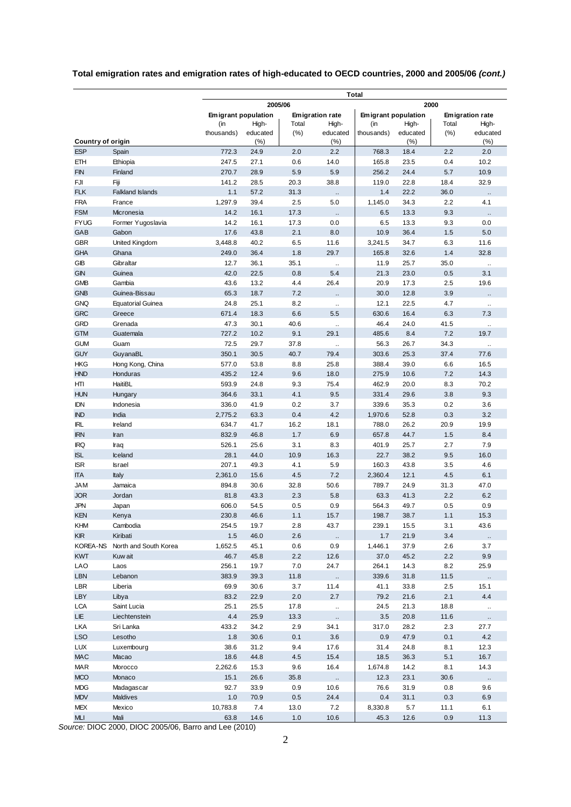|                                        |                          |                            | <b>Total</b> |                        |                             |                     |              |                 |                      |
|----------------------------------------|--------------------------|----------------------------|--------------|------------------------|-----------------------------|---------------------|--------------|-----------------|----------------------|
|                                        |                          | 2005/06<br>2000            |              |                        |                             |                     |              |                 |                      |
|                                        |                          | <b>Emigrant population</b> |              | <b>Emigration rate</b> |                             | Emigrant population |              | Emigration rate |                      |
|                                        |                          | (in                        | High-        | Total                  | High-                       | (in                 | High-        | Total           | High-                |
|                                        |                          | thousands)                 | educated     | (%)                    | educated                    | thousands)          | educated     | (% )            | educated             |
| <b>Country of origin</b><br><b>ESP</b> |                          | 772.3                      | (% )<br>24.9 | 2.0                    | (%)<br>2.2                  | 768.3               | (%)<br>18.4  | 2.2             | (%)<br>2.0           |
| EТH                                    | Spain<br>Ethiopia        | 247.5                      | 27.1         | 0.6                    | 14.0                        | 165.8               | 23.5         | 0.4             | 10.2                 |
| <b>FIN</b>                             | Finland                  | 270.7                      | 28.9         | 5.9                    | 5.9                         | 256.2               | 24.4         | 5.7             | 10.9                 |
| FJI                                    | Fiji                     | 141.2                      | 28.5         | 20.3                   | 38.8                        | 119.0               | 22.8         | 18.4            | 32.9                 |
| <b>FLK</b>                             | <b>Falkland Islands</b>  | 1.1                        | 57.2         | 31.3                   |                             | 1.4                 | 22.2         | 36.0            |                      |
| <b>FRA</b>                             | France                   | 1,297.9                    | 39.4         | 2.5                    | $\ddot{\phantom{a}}$<br>5.0 | 1,145.0             | 34.3         | 2.2             | 4.1                  |
| <b>FSM</b>                             | Micronesia               | 14.2                       | 16.1         | 17.3                   | $\ddot{\phantom{a}}$        | 6.5                 | 13.3         | 9.3             | $\ddot{\phantom{a}}$ |
| <b>FYUG</b>                            | Former Yugoslavia        | 14.2                       | 16.1         | 17.3                   | 0.0                         | 6.5                 | 13.3         | 9.3             | 0.0                  |
| GAB                                    | Gabon                    | 17.6                       | 43.8         | 2.1                    | 8.0                         | 10.9                | 36.4         | 1.5             | 5.0                  |
| <b>GBR</b>                             | United Kingdom           | 3,448.8                    | 40.2         | 6.5                    | 11.6                        | 3,241.5             | 34.7         | 6.3             | 11.6                 |
| <b>GHA</b>                             | Ghana                    | 249.0                      | 36.4         | 1.8                    | 29.7                        | 165.8               | 32.6         | 1.4             | 32.8                 |
| GIB                                    | Gibraltar                | 12.7                       | 36.1         | 35.1                   | ä,                          | 11.9                | 25.7         | 35.0            | $\ddot{\phantom{a}}$ |
| <b>GIN</b>                             | Guinea                   | 42.0                       | 22.5         | 0.8                    | 5.4                         | 21.3                | 23.0         | 0.5             | 3.1                  |
| <b>GMB</b>                             | Gambia                   | 43.6                       | 13.2         | 4.4                    | 26.4                        | 20.9                | 17.3         | 2.5             | 19.6                 |
| <b>GNB</b>                             | Guinea-Bissau            | 65.3                       | 18.7         | 7.2                    | $\ddot{\phantom{a}}$        | 30.0                | 12.8         | 3.9             |                      |
| <b>GNQ</b>                             | <b>Equatorial Guinea</b> | 24.8                       | 25.1         | 8.2                    | ă,                          | 12.1                | 22.5         | 4.7             |                      |
| <b>GRC</b>                             | Greece                   | 671.4                      | 18.3         | 6.6                    | 5.5                         | 630.6               | 16.4         | 6.3             | 7.3                  |
| <b>GRD</b>                             | Grenada                  | 47.3                       | 30.1         | 40.6                   | ă,                          | 46.4                | 24.0         | 41.5            | $\ddot{\phantom{a}}$ |
| <b>GTM</b>                             | Guatemala                | 727.2                      | 10.2         | 9.1                    | 29.1                        | 485.6               | 8.4          | 7.2             | 19.7                 |
| <b>GUM</b>                             | Guam                     | 72.5                       | 29.7         | 37.8                   | ă,                          | 56.3                | 26.7         | 34.3            |                      |
| <b>GUY</b>                             | GuyanaBL                 | 350.1                      | 30.5         | 40.7                   | 79.4                        | 303.6               | 25.3         | 37.4            | 77.6                 |
| <b>HKG</b>                             | Hong Kong, China         | 577.0                      | 53.8         | 8.8                    | 25.8                        | 388.4               | 39.0         | 6.6             | 16.5                 |
| <b>HND</b>                             | Honduras                 | 435.2                      | 12.4         | 9.6                    | 18.0                        | 275.9               | 10.6         | 7.2             | 14.3                 |
| HTI                                    | <b>HaitiBL</b>           | 593.9                      | 24.8         | 9.3                    | 75.4                        | 462.9               | 20.0         | 8.3             | 70.2                 |
| <b>HUN</b>                             | Hungary                  | 364.6                      | 33.1         | 4.1                    | 9.5                         | 331.4               | 29.6         | 3.8             | 9.3                  |
| <b>IDN</b>                             | Indonesia                | 336.0                      | 41.9         | 0.2                    | 3.7                         | 339.6               | 35.3         | 0.2             | 3.6                  |
| <b>IND</b>                             | India                    | 2,775.2                    | 63.3         | 0.4                    | 4.2                         | 1,970.6             | 52.8         | 0.3             | 3.2                  |
| IRL                                    | Ireland                  | 634.7                      | 41.7         | 16.2                   | 18.1                        | 788.0               | 26.2         | 20.9            | 19.9                 |
| <b>IRN</b>                             | Iran                     | 832.9                      | 46.8         | 1.7                    | 6.9                         | 657.8               | 44.7         | 1.5             | 8.4                  |
| IRQ                                    | Iraq                     | 526.1                      | 25.6         | 3.1                    | 8.3                         | 401.9               | 25.7         | 2.7             | 7.9                  |
| <b>ISL</b>                             | Iceland                  | 28.1                       | 44.0         | 10.9                   | 16.3                        | 22.7                | 38.2         | 9.5             | 16.0                 |
| <b>ISR</b>                             | Israel                   | 207.1                      | 49.3         | 4.1                    | 5.9                         | 160.3               | 43.8         | 3.5             | 4.6                  |
| <b>ITA</b>                             | Italy                    | 2,361.0                    | 15.6         | 4.5                    | 7.2                         | 2,360.4             | 12.1         | 4.5             | 6.1                  |
| JAM                                    | Jamaica                  | 894.8                      | 30.6         | 32.8                   | 50.6                        | 789.7               | 24.9         | 31.3            | 47.0                 |
| <b>JOR</b>                             | Jordan                   | 81.8                       | 43.3         | 2.3                    | 5.8                         | 63.3                | 41.3         | 2.2             | 6.2                  |
| JPN                                    | Japan                    | 606.0                      | 54.5         | 0.5                    | 0.9                         | 564.3               | 49.7         | 0.5             | 0.9                  |
| <b>KEN</b>                             | Kenya                    | 230.8                      | 46.6         | 1.1                    | 15.7                        | 198.7               | 38.7         | 1.1             | 15.3                 |
| KHM<br><b>KIR</b>                      | Cambodia<br>Kiribati     | 254.5<br>1.5               | 19.7         | 2.8<br>2.6             | 43.7                        | 239.1<br>1.7        | 15.5         | 3.1             | 43.6                 |
| <b>KOREA-NS</b>                        | North and South Korea    | 1,652.5                    | 46.0<br>45.1 | 0.6                    | $\ddot{\phantom{1}}$<br>0.9 | 1,446.1             | 21.9<br>37.9 | 3.4<br>2.6      | $\ldots$<br>3.7      |
| <b>KWT</b>                             | Kuw ait                  | 46.7                       | 45.8         | 2.2                    | 12.6                        | 37.0                | 45.2         | 2.2             | 9.9                  |
| LAO                                    | Laos                     | 256.1                      | 19.7         | 7.0                    | 24.7                        | 264.1               | 14.3         | 8.2             | 25.9                 |
| <b>LBN</b>                             | Lebanon                  | 383.9                      | 39.3         | 11.8                   | $\ddotsc$                   | 339.6               | 31.8         | 11.5            |                      |
| LBR                                    | Liberia                  | 69.9                       | 30.6         | 3.7                    | 11.4                        | 41.1                | 33.8         | 2.5             | 15.1                 |
| <b>LBY</b>                             | Libya                    | 83.2                       | 22.9         | 2.0                    | 2.7                         | 79.2                | 21.6         | 2.1             | 4.4                  |
| <b>LCA</b>                             | Saint Lucia              | 25.1                       | 25.5         | 17.8                   | $\ddot{\phantom{1}}$        | 24.5                | 21.3         | 18.8            | $\sim$               |
| LIE.                                   | Liechtenstein            | 4.4                        | 25.9         | 13.3                   | $\ldots$                    | 3.5                 | 20.8         | 11.6            |                      |
| <b>LKA</b>                             | Sri Lanka                | 433.2                      | 34.2         | 2.9                    | 34.1                        | 317.0               | 28.2         | 2.3             | 27.7                 |
| <b>LSO</b>                             | Lesotho                  | 1.8                        | 30.6         | 0.1                    | 3.6                         | 0.9                 | 47.9         | 0.1             | 4.2                  |
| <b>LUX</b>                             | Luxembourg               | 38.6                       | 31.2         | 9.4                    | 17.6                        | 31.4                | 24.8         | 8.1             | 12.3                 |
| <b>MAC</b>                             | Macao                    | 18.6                       | 44.8         | 4.5                    | 15.4                        | 18.5                | 36.3         | 5.1             | 16.7                 |
| <b>MAR</b>                             | Morocco                  | 2,262.6                    | 15.3         | 9.6                    | 16.4                        | 1,674.8             | 14.2         | 8.1             | 14.3                 |
| <b>MCO</b>                             | Monaco                   | 15.1                       | 26.6         | 35.8                   | $\ddotsc$                   | 12.3                | 23.1         | 30.6            | $\ddot{\phantom{a}}$ |
| <b>MDG</b>                             | Madagascar               | 92.7                       | 33.9         | 0.9                    | 10.6                        | 76.6                | 31.9         | 0.8             | 9.6                  |
| <b>MDV</b>                             | Maldives                 | 1.0                        | 70.9         | 0.5                    | 24.4                        | 0.4                 | 31.1         | 0.3             | 6.9                  |
| <b>MEX</b>                             | Mexico                   | 10,783.8                   | 7.4          | 13.0                   | 7.2                         | 8,330.8             | 5.7          | 11.1            | 6.1                  |
| MLI                                    | Mali                     | 63.8                       | 14.6         | 1.0                    | 10.6                        | 45.3                | 12.6         | 0.9             | 11.3                 |

## **Total emigration rates and emigration rates of high-educated to OECD countries, 2000 and 2005/06** *(cont.)*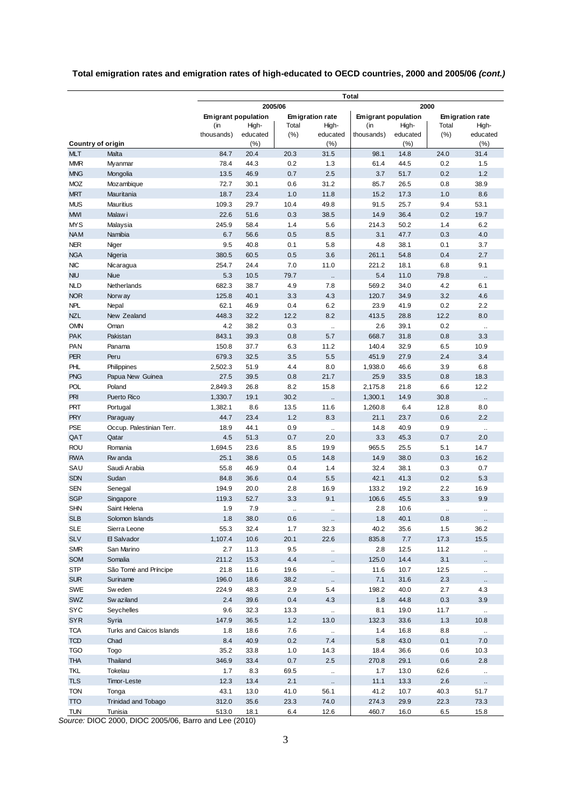## **Total emigration rates and emigration rates of high-educated to OECD countries, 2000 and 2005/06** *(cont.)*

|                                        |                            | <b>Total</b>        |              |             |                          |               |                            |             |                        |
|----------------------------------------|----------------------------|---------------------|--------------|-------------|--------------------------|---------------|----------------------------|-------------|------------------------|
|                                        |                            | 2005/06<br>2000     |              |             |                          |               |                            |             |                        |
|                                        |                            | Emigrant population |              |             | <b>Emigration rate</b>   |               | <b>Emigrant population</b> |             | <b>Emigration rate</b> |
|                                        |                            | (in                 | High-        | Total       | High-                    | (in           | High-                      | Total       | High-                  |
|                                        |                            | thousands)          | educated     | (% )        | educated                 | thousands)    | educated                   | (%)         | educated               |
| <b>Country of origin</b><br><b>MLT</b> | Malta                      | 84.7                | (%)<br>20.4  | 20.3        | (%)<br>31.5              | 98.1          | (%)<br>14.8                | 24.0        | (%)<br>31.4            |
| <b>MMR</b>                             | Myanmar                    | 78.4                | 44.3         | 0.2         | 1.3                      | 61.4          | 44.5                       | 0.2         | 1.5                    |
| <b>MNG</b>                             | Mongolia                   | 13.5                | 46.9         | 0.7         | 2.5                      | 3.7           | 51.7                       | 0.2         | 1.2                    |
| <b>MOZ</b>                             | Mozambique                 | 72.7                | 30.1         | 0.6         | 31.2                     | 85.7          | 26.5                       | 0.8         | 38.9                   |
| <b>MRT</b>                             | Mauritania                 | 18.7                | 23.4         | 1.0         | 11.8                     | 15.2          | 17.3                       | 1.0         | 8.6                    |
| <b>MUS</b>                             | <b>Mauritius</b>           | 109.3               | 29.7         | 10.4        | 49.8                     | 91.5          | 25.7                       | 9.4         | 53.1                   |
| <b>MWI</b>                             | Malaw i                    | 22.6                | 51.6         | 0.3         | 38.5                     | 14.9          | 36.4                       | 0.2         | 19.7                   |
| <b>MYS</b>                             | Malaysia                   | 245.9               | 58.4         | 1.4         | 5.6                      | 214.3         | 50.2                       | 1.4         | 6.2                    |
| <b>NAM</b>                             | Namibia                    | 6.7                 | 56.6         | 0.5         | 8.5                      | 3.1           | 47.7                       | 0.3         | 4.0                    |
| <b>NER</b>                             | Niger                      | 9.5                 | 40.8         | 0.1         | 5.8                      | 4.8           | 38.1                       | 0.1         | 3.7                    |
| <b>NGA</b>                             | Nigeria                    | 380.5               | 60.5         | 0.5         | 3.6                      | 261.1         | 54.8                       | 0.4         | 2.7                    |
| <b>NIC</b>                             | Nicaragua                  | 254.7               | 24.4         | 7.0         | 11.0                     | 221.2         | 18.1                       | 6.8         | 9.1                    |
| <b>NIU</b>                             | <b>Niue</b>                | 5.3                 | 10.5         | 79.7        | $\ddot{\phantom{a}}$     | 5.4           | 11.0                       | 79.8        |                        |
| <b>NLD</b>                             | Netherlands                | 682.3               | 38.7         | 4.9         | 7.8                      | 569.2         | 34.0                       | 4.2         | 6.1                    |
| <b>NOR</b>                             | Norw ay                    | 125.8               | 40.1         | 3.3         | 4.3                      | 120.7         | 34.9                       | 3.2         | 4.6                    |
| NPL<br><b>NZL</b>                      | Nepal<br>New Zealand       | 62.1<br>448.3       | 46.9<br>32.2 | 0.4<br>12.2 | 6.2<br>8.2               | 23.9<br>413.5 | 41.9<br>28.8               | 0.2<br>12.2 | 2.2<br>8.0             |
| <b>OMN</b>                             | Oman                       | 4.2                 | 38.2         | 0.3         | $\ddot{\phantom{a}}$     | 2.6           | 39.1                       | 0.2         |                        |
| PAK                                    | Pakistan                   | 843.1               | 39.3         | 0.8         | 5.7                      | 668.7         | 31.8                       | 0.8         | $\bar{a}$<br>3.3       |
| PAN                                    | Panama                     | 150.8               | 37.7         | 6.3         | 11.2                     | 140.4         | 32.9                       | 6.5         | 10.9                   |
| PER                                    | Peru                       | 679.3               | 32.5         | 3.5         | 5.5                      | 451.9         | 27.9                       | 2.4         | 3.4                    |
| PHL                                    | Philippines                | 2,502.3             | 51.9         | 4.4         | 8.0                      | 1,938.0       | 46.6                       | 3.9         | 6.8                    |
| <b>PNG</b>                             | Papua New Guinea           | 27.5                | 39.5         | 0.8         | 21.7                     | 25.9          | 33.5                       | 0.8         | 18.3                   |
| POL                                    | Poland                     | 2,849.3             | 26.8         | 8.2         | 15.8                     | 2,175.8       | 21.8                       | 6.6         | 12.2                   |
| PRI                                    | <b>Puerto Rico</b>         | 1,330.7             | 19.1         | 30.2        | $\bar{\mathbf{r}}$       | 1,300.1       | 14.9                       | 30.8        |                        |
| PRT                                    | Portugal                   | 1,382.1             | 8.6          | 13.5        | 11.6                     | 1,260.8       | 6.4                        | 12.8        | 8.0                    |
| <b>PRY</b>                             | Paraguay                   | 44.7                | 23.4         | 1.2         | 8.3                      | 21.1          | 23.7                       | 0.6         | 2.2                    |
| PSE                                    | Occup. Palestinian Terr.   | 18.9                | 44.1         | 0.9         | $\ddot{\phantom{a}}$     | 14.8          | 40.9                       | 0.9         | $\ddotsc$              |
| QAT                                    | Qatar                      | 4.5                 | 51.3         | 0.7         | 2.0                      | 3.3           | 45.3                       | 0.7         | 2.0                    |
| <b>ROU</b>                             | Romania                    | 1,694.5             | 23.6         | 8.5         | 19.9                     | 965.5         | 25.5                       | 5.1         | 14.7                   |
| <b>RWA</b>                             | Rw anda                    | 25.1                | 38.6         | 0.5         | 14.8                     | 14.9          | 38.0                       | 0.3         | 16.2                   |
| SAU                                    | Saudi Arabia               | 55.8                | 46.9         | 0.4         | 1.4                      | 32.4          | 38.1                       | 0.3         | 0.7                    |
| <b>SDN</b><br><b>SEN</b>               | Sudan<br>Senegal           | 84.8<br>194.9       | 36.6<br>20.0 | 0.4<br>2.8  | 5.5<br>16.9              | 42.1<br>133.2 | 41.3<br>19.2               | 0.2<br>2.2  | 5.3<br>16.9            |
| <b>SGP</b>                             | Singapore                  | 119.3               | 52.7         | 3.3         | 9.1                      | 106.6         | 45.5                       | 3.3         | 9.9                    |
| <b>SHN</b>                             | Saint Helena               | 1.9                 | 7.9          | ä.          | $\ddot{\phantom{a}}$     | 2.8           | 10.6                       | ä,          | $\ddot{\phantom{a}}$   |
| <b>SLB</b>                             | Solomon Islands            | $1.8$               | 38.0         | 0.6         | $\ldots$                 | $1.8$         | 40.1                       | 0.8         |                        |
| <b>SLE</b>                             | Sierra Leone               | 55.3                | 32.4         | 1.7         | 32.3                     | 40.2          | 35.6                       | 1.5         | 36.2                   |
| <b>SLV</b>                             | 日 Salvador                 | 1,107.4             | 10.6         | 20.1        | 22.6                     | 835.8         | 7.7                        | 17.3        | 15.5                   |
| <b>SMR</b>                             | San Marino                 | 2.7                 | 11.3         | 9.5         | $\ddot{\phantom{1}}$     | 2.8           | 12.5                       | 11.2        | $\ddot{\phantom{1}}$   |
| <b>SOM</b>                             | Somalia                    | 211.2               | 15.3         | 4.4         |                          | 125.0         | 14.4                       | 3.1         |                        |
| <b>STP</b>                             | São Tomé and Príncipe      | 21.8                | 11.6         | 19.6        | $\ddotsc$                | 11.6          | 10.7                       | 12.5        |                        |
| <b>SUR</b>                             | Suriname                   | 196.0               | 18.6         | 38.2        | $\ddotsc$                | 7.1           | 31.6                       | 2.3         |                        |
| <b>SWE</b>                             | Sw eden                    | 224.9               | 48.3         | 2.9         | 5.4                      | 198.2         | 40.0                       | 2.7         | 4.3                    |
| <b>SWZ</b>                             | Sw aziland                 | 2.4                 | 39.6         | 0.4         | 4.3                      | 1.8           | 44.8                       | 0.3         | 3.9                    |
| <b>SYC</b>                             | Seychelles                 | 9.6                 | 32.3         | 13.3        | $\ddot{\phantom{1}}$     | 8.1           | 19.0                       | 11.7        | $\sim$                 |
| <b>SYR</b>                             | Syria                      | 147.9               | 36.5         | 1.2         | 13.0                     | 132.3         | 33.6                       | 1.3         | 10.8                   |
| <b>TCA</b>                             | Turks and Caicos Islands   | 1.8                 | 18.6         | 7.6         | $\ddot{\phantom{1}}$     | 1.4           | 16.8                       | 8.8         | $\sim$                 |
| <b>TCD</b>                             | Chad                       | 8.4                 | 40.9         | 0.2         | 7.4                      | 5.8           | 43.0                       | 0.1         | 7.0                    |
| <b>TGO</b><br><b>THA</b>               | Togo<br>Thailand           | 35.2<br>346.9       | 33.8         | 1.0<br>0.7  | 14.3<br>2.5              | 18.4<br>270.8 | 36.6                       | 0.6         | 10.3<br>2.8            |
| TKL                                    | Tokelau                    | 1.7                 | 33.4<br>8.3  | 69.5        |                          | 1.7           | 29.1<br>13.0               | 0.6<br>62.6 |                        |
| <b>TLS</b>                             | Timor-Leste                | 12.3                | 13.4         | 2.1         | $\bar{\mathbf{a}}$<br>ò, | 11.1          | 13.3                       | 2.6         | $\ddot{\phantom{1}}$   |
| <b>TON</b>                             | Tonga                      | 43.1                | 13.0         | 41.0        | 56.1                     | 41.2          | 10.7                       | 40.3        | 51.7                   |
| <b>TTO</b>                             | <b>Trinidad and Tobago</b> | 312.0               | 35.6         | 23.3        | 74.0                     | 274.3         | 29.9                       | 22.3        | 73.3                   |
| <b>TUN</b>                             | Tunisia                    | 513.0               | 18.1         | 6.4         | 12.6                     | 460.7         | 16.0                       | 6.5         | 15.8                   |